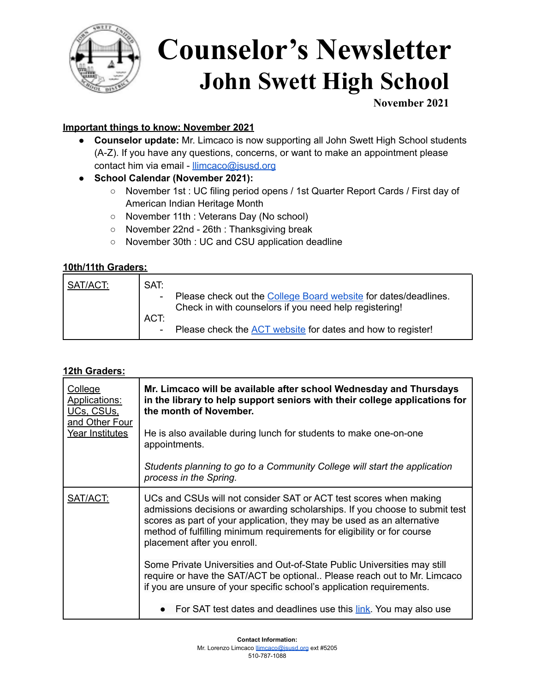

# **Counselor's Newsletter John Swett High School**

**November 2021**

### **Important things to know: November 2021**

- **● Counselor update:** Mr. Limcaco is now supporting all John Swett High School students (A-Z). If you have any questions, concerns, or want to make an appointment please contact him via email - [llimcaco@jsusd.org](mailto:llimcaco@jsusd.org)
- **● School Calendar (November 2021):**
	- November 1st : UC filing period opens / 1st Quarter Report Cards / First day of American Indian Heritage Month
	- November 11th : Veterans Day (No school)
	- November 22nd 26th : Thanksgiving break
	- **○** November 30th : UC and CSU application deadline

### **10th/11th Graders:**

| SAT/ACT: | SAT:<br>ACT: | Please check out the College Board website for dates/deadlines.<br>Check in with counselors if you need help registering! |
|----------|--------------|---------------------------------------------------------------------------------------------------------------------------|
|          |              | Please check the ACT website for dates and how to register!                                                               |

### **12th Graders:**

| <b>College</b><br><b>Applications:</b><br><u>UCs, CSUs,</u><br>and Other Four<br>Year Institutes | Mr. Limcaco will be available after school Wednesday and Thursdays<br>in the library to help support seniors with their college applications for<br>the month of November.                                                                                                                                                           |
|--------------------------------------------------------------------------------------------------|--------------------------------------------------------------------------------------------------------------------------------------------------------------------------------------------------------------------------------------------------------------------------------------------------------------------------------------|
|                                                                                                  | He is also available during lunch for students to make one-on-one<br>appointments.                                                                                                                                                                                                                                                   |
|                                                                                                  | Students planning to go to a Community College will start the application<br>process in the Spring.                                                                                                                                                                                                                                  |
| SAT/ACT:                                                                                         | UCs and CSUs will not consider SAT or ACT test scores when making<br>admissions decisions or awarding scholarships. If you choose to submit test<br>scores as part of your application, they may be used as an alternative<br>method of fulfilling minimum requirements for eligibility or for course<br>placement after you enroll. |
|                                                                                                  | Some Private Universities and Out-of-State Public Universities may still<br>require or have the SAT/ACT be optional Please reach out to Mr. Limcaco<br>if you are unsure of your specific school's application requirements.                                                                                                         |
|                                                                                                  | For SAT test dates and deadlines use this link. You may also use                                                                                                                                                                                                                                                                     |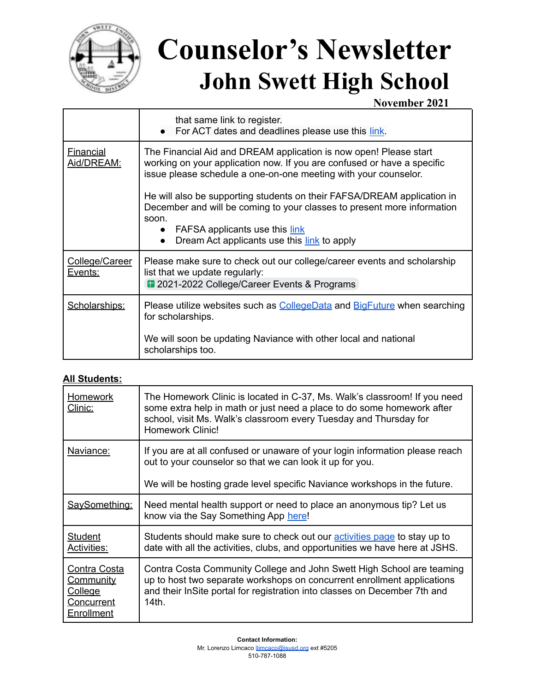

## **Counselor's Newsletter John Swett High School**

**November 2021**

|                                | that same link to register.<br>For ACT dates and deadlines please use this link.                                                                                                                                                                                       |
|--------------------------------|------------------------------------------------------------------------------------------------------------------------------------------------------------------------------------------------------------------------------------------------------------------------|
| <b>Financial</b><br>Aid/DREAM: | The Financial Aid and DREAM application is now open! Please start<br>working on your application now. If you are confused or have a specific<br>issue please schedule a one-on-one meeting with your counselor.                                                        |
|                                | He will also be supporting students on their FAFSA/DREAM application in<br>December and will be coming to your classes to present more information<br>soon.<br>FAFSA applicants use this link<br>$\bullet$<br>Dream Act applicants use this link to apply<br>$\bullet$ |
| College/Career<br>Events:      | Please make sure to check out our college/career events and scholarship<br>list that we update regularly:<br><b>1</b> 2021-2022 College/Career Events & Programs                                                                                                       |
| Scholarships:                  | Please utilize websites such as CollegeData and BigFuture when searching<br>for scholarships.<br>We will soon be updating Naviance with other local and national                                                                                                       |
|                                | scholarships too.                                                                                                                                                                                                                                                      |

### **All Students:**

| Homework<br>Clinic:                                                            | The Homework Clinic is located in C-37, Ms. Walk's classroom! If you need<br>some extra help in math or just need a place to do some homework after<br>school, visit Ms. Walk's classroom every Tuesday and Thursday for<br><b>Homework Clinic!</b> |
|--------------------------------------------------------------------------------|-----------------------------------------------------------------------------------------------------------------------------------------------------------------------------------------------------------------------------------------------------|
| Naviance:                                                                      | If you are at all confused or unaware of your login information please reach<br>out to your counselor so that we can look it up for you.<br>We will be hosting grade level specific Naviance workshops in the future.                               |
| SaySomething:                                                                  | Need mental health support or need to place an anonymous tip? Let us<br>know via the Say Something App here!                                                                                                                                        |
| <b>Student</b><br>Activities:                                                  | Students should make sure to check out our activities page to stay up to<br>date with all the activities, clubs, and opportunities we have here at JSHS.                                                                                            |
| Contra Costa<br><u>Community</u><br>College<br>Concurrent<br><b>Enrollment</b> | Contra Costa Community College and John Swett High School are teaming<br>up to host two separate workshops on concurrent enrollment applications<br>and their InSite portal for registration into classes on December 7th and<br>14th.              |